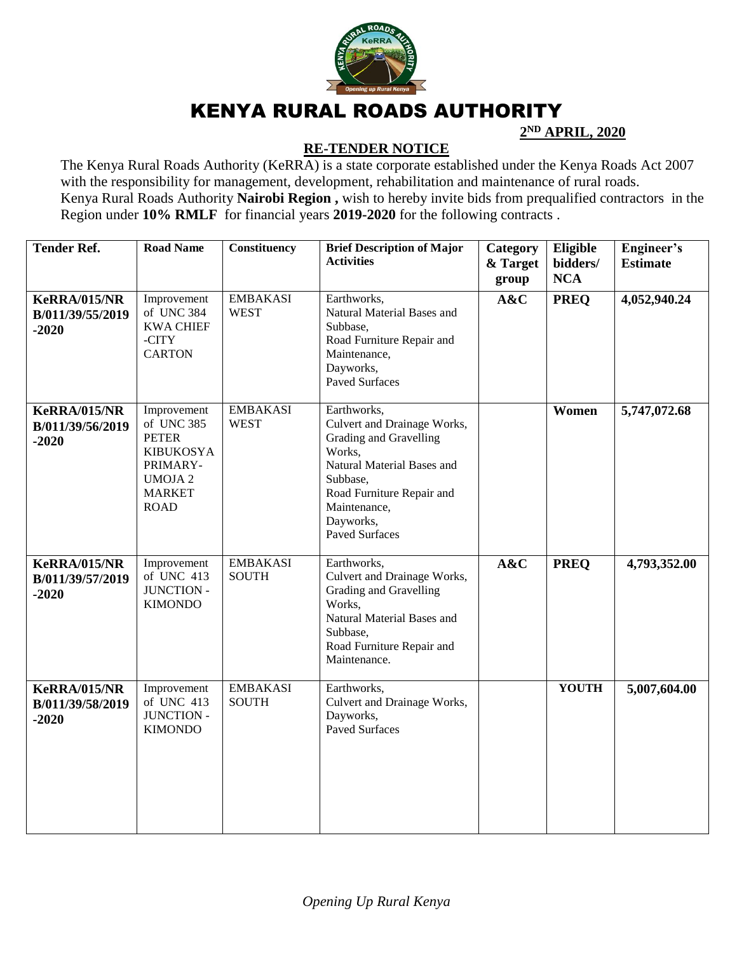

## KENYA RURAL ROADS AUTHORITY

**2 ND APRIL, 2020**

## **RE-TENDER NOTICE**

The Kenya Rural Roads Authority (KeRRA) is a state corporate established under the Kenya Roads Act 2007 with the responsibility for management, development, rehabilitation and maintenance of rural roads. Kenya Rural Roads Authority **Nairobi Region ,** wish to hereby invite bids from prequalified contractors in the Region under **10% RMLF** for financial years **2019-2020** for the following contracts .

| <b>Tender Ref.</b>                                 | <b>Road Name</b>                                                                                                           | <b>Constituency</b>             | <b>Brief Description of Major</b><br><b>Activities</b>                                                                                                                                                      | Category<br>& Target<br>group | Eligible<br>bidders/<br><b>NCA</b> | Engineer's<br><b>Estimate</b> |
|----------------------------------------------------|----------------------------------------------------------------------------------------------------------------------------|---------------------------------|-------------------------------------------------------------------------------------------------------------------------------------------------------------------------------------------------------------|-------------------------------|------------------------------------|-------------------------------|
| <b>KeRRA/015/NR</b><br>B/011/39/55/2019<br>$-2020$ | Improvement<br>of UNC 384<br><b>KWA CHIEF</b><br>-CITY<br><b>CARTON</b>                                                    | <b>EMBAKASI</b><br><b>WEST</b>  | Earthworks,<br>Natural Material Bases and<br>Subbase,<br>Road Furniture Repair and<br>Maintenance,<br>Dayworks,<br><b>Paved Surfaces</b>                                                                    | A&C                           | <b>PREQ</b>                        | 4,052,940.24                  |
| <b>KeRRA/015/NR</b><br>B/011/39/56/2019<br>$-2020$ | Improvement<br>of UNC 385<br><b>PETER</b><br><b>KIBUKOSYA</b><br>PRIMARY-<br><b>UMOJA2</b><br><b>MARKET</b><br><b>ROAD</b> | <b>EMBAKASI</b><br><b>WEST</b>  | Earthworks,<br>Culvert and Drainage Works,<br>Grading and Gravelling<br>Works,<br>Natural Material Bases and<br>Subbase,<br>Road Furniture Repair and<br>Maintenance,<br>Dayworks,<br><b>Paved Surfaces</b> |                               | Women                              | 5,747,072.68                  |
| <b>KeRRA/015/NR</b><br>B/011/39/57/2019<br>$-2020$ | Improvement<br>of UNC 413<br><b>JUNCTION -</b><br><b>KIMONDO</b>                                                           | <b>EMBAKASI</b><br><b>SOUTH</b> | Earthworks,<br>Culvert and Drainage Works,<br>Grading and Gravelling<br>Works,<br>Natural Material Bases and<br>Subbase,<br>Road Furniture Repair and<br>Maintenance.                                       | A&C                           | <b>PREQ</b>                        | 4,793,352.00                  |
| <b>KeRRA/015/NR</b><br>B/011/39/58/2019<br>$-2020$ | Improvement<br>of UNC 413<br>JUNCTION -<br><b>KIMONDO</b>                                                                  | <b>EMBAKASI</b><br><b>SOUTH</b> | Earthworks,<br>Culvert and Drainage Works,<br>Dayworks,<br><b>Paved Surfaces</b>                                                                                                                            |                               | <b>YOUTH</b>                       | 5,007,604.00                  |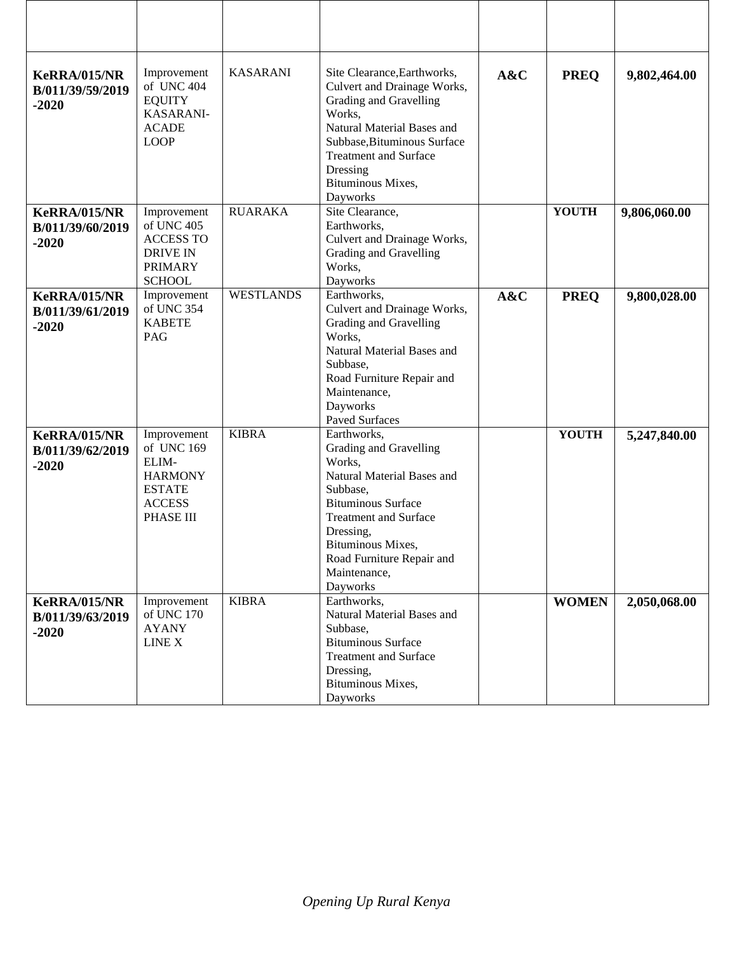| <b>KeRRA/015/NR</b><br>B/011/39/59/2019<br>$-2020$ | Improvement<br>of UNC 404<br><b>EQUITY</b><br>KASARANI-<br><b>ACADE</b><br><b>LOOP</b>              | <b>KASARANI</b>  | Site Clearance, Earthworks,<br>Culvert and Drainage Works,<br>Grading and Gravelling<br>Works,<br>Natural Material Bases and<br>Subbase, Bituminous Surface<br><b>Treatment and Surface</b><br>Dressing<br>Bituminous Mixes,<br>Dayworks          | A&C | <b>PREQ</b>  | 9,802,464.00 |
|----------------------------------------------------|-----------------------------------------------------------------------------------------------------|------------------|---------------------------------------------------------------------------------------------------------------------------------------------------------------------------------------------------------------------------------------------------|-----|--------------|--------------|
| <b>KeRRA/015/NR</b><br>B/011/39/60/2019<br>$-2020$ | Improvement<br>of UNC 405<br><b>ACCESS TO</b><br><b>DRIVE IN</b><br><b>PRIMARY</b><br><b>SCHOOL</b> | <b>RUARAKA</b>   | Site Clearance,<br>Earthworks,<br>Culvert and Drainage Works,<br>Grading and Gravelling<br>Works,<br>Dayworks                                                                                                                                     |     | <b>YOUTH</b> | 9,806,060.00 |
| <b>KeRRA/015/NR</b><br>B/011/39/61/2019<br>$-2020$ | Improvement<br>of UNC 354<br><b>KABETE</b><br>PAG                                                   | <b>WESTLANDS</b> | Earthworks,<br>Culvert and Drainage Works,<br>Grading and Gravelling<br>Works,<br>Natural Material Bases and<br>Subbase,<br>Road Furniture Repair and<br>Maintenance,<br>Dayworks<br><b>Paved Surfaces</b>                                        | A&C | <b>PREQ</b>  | 9,800,028.00 |
| <b>KeRRA/015/NR</b><br>B/011/39/62/2019<br>$-2020$ | Improvement<br>of UNC 169<br>ELIM-<br><b>HARMONY</b><br><b>ESTATE</b><br><b>ACCESS</b><br>PHASE III | <b>KIBRA</b>     | Earthworks,<br>Grading and Gravelling<br>Works,<br>Natural Material Bases and<br>Subbase,<br><b>Bituminous Surface</b><br><b>Treatment and Surface</b><br>Dressing,<br>Bituminous Mixes,<br>Road Furniture Repair and<br>Maintenance,<br>Dayworks |     | <b>YOUTH</b> | 5,247,840.00 |
| <b>KeRRA/015/NR</b><br>B/011/39/63/2019<br>$-2020$ | Improvement<br>of UNC 170<br><b>AYANY</b><br>LINE X                                                 | <b>KIBRA</b>     | Earthworks,<br>Natural Material Bases and<br>Subbase,<br><b>Bituminous Surface</b><br><b>Treatment and Surface</b><br>Dressing,<br>Bituminous Mixes,<br>Dayworks                                                                                  |     | <b>WOMEN</b> | 2,050,068.00 |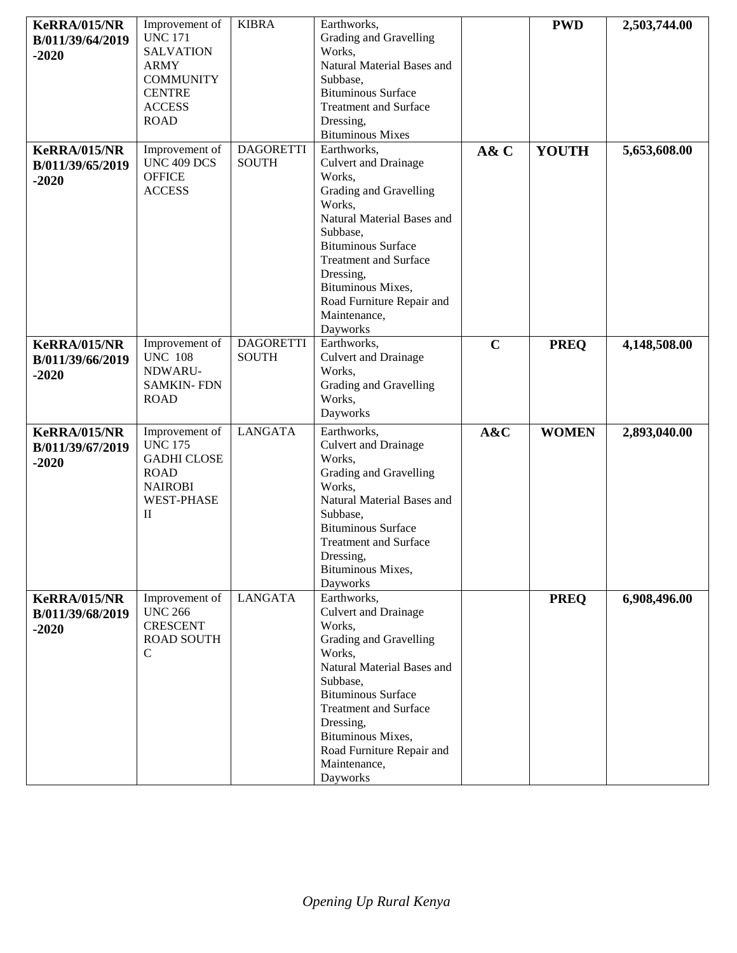| <b>KeRRA/015/NR</b> | Improvement of     | <b>KIBRA</b>     | Earthworks,                           |             | <b>PWD</b>   | 2,503,744.00 |
|---------------------|--------------------|------------------|---------------------------------------|-------------|--------------|--------------|
| B/011/39/64/2019    | <b>UNC 171</b>     |                  | Grading and Gravelling                |             |              |              |
| $-2020$             | <b>SALVATION</b>   |                  | Works.                                |             |              |              |
|                     | <b>ARMY</b>        |                  | Natural Material Bases and            |             |              |              |
|                     | <b>COMMUNITY</b>   |                  | Subbase,                              |             |              |              |
|                     | <b>CENTRE</b>      |                  | <b>Bituminous Surface</b>             |             |              |              |
|                     | <b>ACCESS</b>      |                  | <b>Treatment and Surface</b>          |             |              |              |
|                     | <b>ROAD</b>        |                  | Dressing,                             |             |              |              |
|                     |                    |                  | <b>Bituminous Mixes</b>               |             |              |              |
| <b>KeRRA/015/NR</b> | Improvement of     | <b>DAGORETTI</b> | Earthworks,                           | A& C        | <b>YOUTH</b> | 5,653,608.00 |
| B/011/39/65/2019    | UNC 409 DCS        | <b>SOUTH</b>     | Culvert and Drainage                  |             |              |              |
| $-2020$             | <b>OFFICE</b>      |                  | Works,                                |             |              |              |
|                     | <b>ACCESS</b>      |                  | Grading and Gravelling                |             |              |              |
|                     |                    |                  | Works,<br>Natural Material Bases and  |             |              |              |
|                     |                    |                  |                                       |             |              |              |
|                     |                    |                  | Subbase,<br><b>Bituminous Surface</b> |             |              |              |
|                     |                    |                  | <b>Treatment and Surface</b>          |             |              |              |
|                     |                    |                  | Dressing,                             |             |              |              |
|                     |                    |                  | Bituminous Mixes,                     |             |              |              |
|                     |                    |                  | Road Furniture Repair and             |             |              |              |
|                     |                    |                  | Maintenance,                          |             |              |              |
|                     |                    |                  | Dayworks                              |             |              |              |
| <b>KeRRA/015/NR</b> | Improvement of     | <b>DAGORETTI</b> | Earthworks,                           | $\mathbf C$ | <b>PREQ</b>  | 4,148,508.00 |
| B/011/39/66/2019    | <b>UNC 108</b>     | <b>SOUTH</b>     | <b>Culvert and Drainage</b>           |             |              |              |
| $-2020$             | NDWARU-            |                  | Works,                                |             |              |              |
|                     | <b>SAMKIN-FDN</b>  |                  | Grading and Gravelling                |             |              |              |
|                     | <b>ROAD</b>        |                  | Works,                                |             |              |              |
|                     |                    |                  | Dayworks                              |             |              |              |
| <b>KeRRA/015/NR</b> | Improvement of     | <b>LANGATA</b>   | Earthworks,                           | A&C         | <b>WOMEN</b> | 2,893,040.00 |
| B/011/39/67/2019    | <b>UNC 175</b>     |                  | Culvert and Drainage                  |             |              |              |
| $-2020$             | <b>GADHI CLOSE</b> |                  | Works,                                |             |              |              |
|                     | <b>ROAD</b>        |                  | Grading and Gravelling                |             |              |              |
|                     | <b>NAIROBI</b>     |                  | Works,                                |             |              |              |
|                     | <b>WEST-PHASE</b>  |                  | Natural Material Bases and            |             |              |              |
|                     | П                  |                  | Subbase,                              |             |              |              |
|                     |                    |                  | <b>Bituminous Surface</b>             |             |              |              |
|                     |                    |                  | <b>Treatment and Surface</b>          |             |              |              |
|                     |                    |                  | Dressing,                             |             |              |              |
|                     |                    |                  | Bituminous Mixes,<br>Dayworks         |             |              |              |
| <b>KeRRA/015/NR</b> | Improvement of     | <b>LANGATA</b>   | Earthworks,                           |             | <b>PREQ</b>  | 6,908,496.00 |
| B/011/39/68/2019    | <b>UNC 266</b>     |                  | <b>Culvert and Drainage</b>           |             |              |              |
| $-2020$             | <b>CRESCENT</b>    |                  | Works,                                |             |              |              |
|                     | <b>ROAD SOUTH</b>  |                  | Grading and Gravelling                |             |              |              |
|                     | $\mathsf{C}$       |                  | Works,                                |             |              |              |
|                     |                    |                  | Natural Material Bases and            |             |              |              |
|                     |                    |                  | Subbase,                              |             |              |              |
|                     |                    |                  | <b>Bituminous Surface</b>             |             |              |              |
|                     |                    |                  | <b>Treatment and Surface</b>          |             |              |              |
|                     |                    |                  | Dressing,                             |             |              |              |
|                     |                    |                  | Bituminous Mixes,                     |             |              |              |
|                     |                    |                  | Road Furniture Repair and             |             |              |              |
|                     |                    |                  | Maintenance,                          |             |              |              |
|                     |                    |                  | Dayworks                              |             |              |              |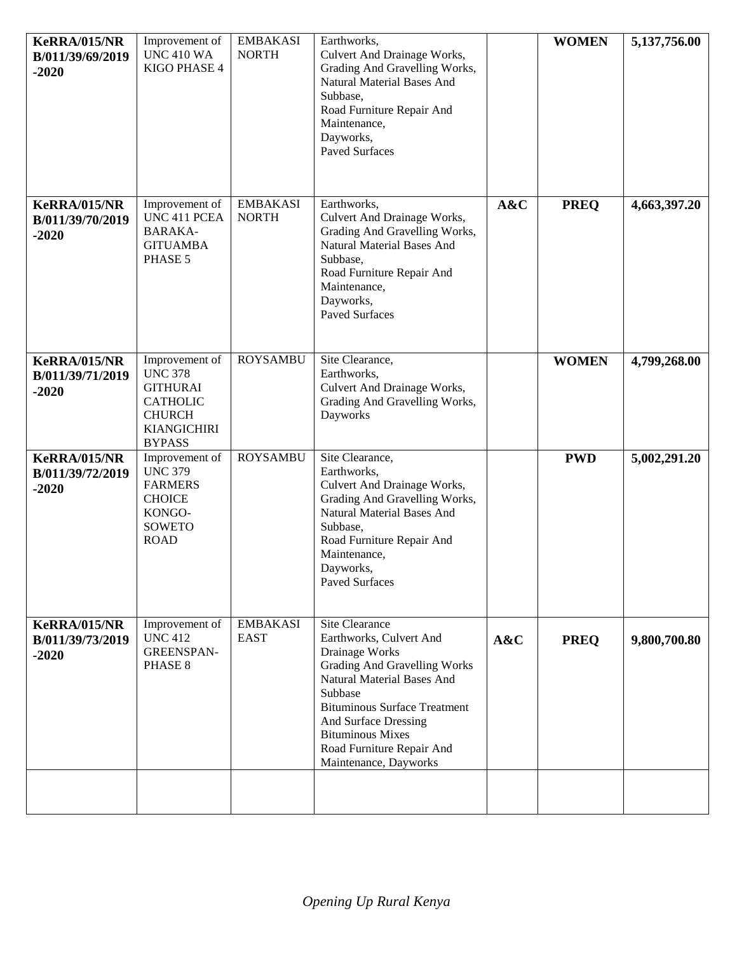| <b>KeRRA/015/NR</b><br>B/011/39/69/2019<br>$-2020$ | Improvement of<br><b>UNC 410 WA</b><br>KIGO PHASE 4                                                                            | <b>EMBAKASI</b><br><b>NORTH</b> | Earthworks,<br>Culvert And Drainage Works,<br>Grading And Gravelling Works,<br>Natural Material Bases And<br>Subbase,<br>Road Furniture Repair And<br>Maintenance,<br>Dayworks,<br><b>Paved Surfaces</b>                                                                                    |     | <b>WOMEN</b> | 5,137,756.00 |
|----------------------------------------------------|--------------------------------------------------------------------------------------------------------------------------------|---------------------------------|---------------------------------------------------------------------------------------------------------------------------------------------------------------------------------------------------------------------------------------------------------------------------------------------|-----|--------------|--------------|
| <b>KeRRA/015/NR</b><br>B/011/39/70/2019<br>$-2020$ | Improvement of<br>UNC 411 PCEA<br><b>BARAKA-</b><br><b>GITUAMBA</b><br>PHASE 5                                                 | <b>EMBAKASI</b><br><b>NORTH</b> | Earthworks,<br>Culvert And Drainage Works,<br>Grading And Gravelling Works,<br>Natural Material Bases And<br>Subbase,<br>Road Furniture Repair And<br>Maintenance,<br>Dayworks,<br><b>Paved Surfaces</b>                                                                                    | A&C | <b>PREQ</b>  | 4,663,397.20 |
| <b>KeRRA/015/NR</b><br>B/011/39/71/2019<br>$-2020$ | Improvement of<br><b>UNC 378</b><br><b>GITHURAI</b><br><b>CATHOLIC</b><br><b>CHURCH</b><br><b>KIANGICHIRI</b><br><b>BYPASS</b> | <b>ROYSAMBU</b>                 | Site Clearance,<br>Earthworks,<br>Culvert And Drainage Works,<br>Grading And Gravelling Works,<br>Dayworks                                                                                                                                                                                  |     | <b>WOMEN</b> | 4,799,268.00 |
| <b>KeRRA/015/NR</b><br>B/011/39/72/2019<br>$-2020$ | Improvement of<br><b>UNC 379</b><br><b>FARMERS</b><br><b>CHOICE</b><br>KONGO-<br><b>SOWETO</b><br><b>ROAD</b>                  | <b>ROYSAMBU</b>                 | Site Clearance,<br>Earthworks,<br>Culvert And Drainage Works,<br>Grading And Gravelling Works,<br>Natural Material Bases And<br>Subbase,<br>Road Furniture Repair And<br>Maintenance,<br>Dayworks,<br><b>Paved Surfaces</b>                                                                 |     | <b>PWD</b>   | 5,002,291.20 |
| <b>KeRRA/015/NR</b><br>B/011/39/73/2019<br>$-2020$ | Improvement of<br><b>UNC 412</b><br><b>GREENSPAN-</b><br>PHASE 8                                                               | <b>EMBAKASI</b><br><b>EAST</b>  | Site Clearance<br>Earthworks, Culvert And<br>Drainage Works<br><b>Grading And Gravelling Works</b><br>Natural Material Bases And<br>Subbase<br><b>Bituminous Surface Treatment</b><br>And Surface Dressing<br><b>Bituminous Mixes</b><br>Road Furniture Repair And<br>Maintenance, Dayworks | A&C | <b>PREO</b>  | 9,800,700.80 |
|                                                    |                                                                                                                                |                                 |                                                                                                                                                                                                                                                                                             |     |              |              |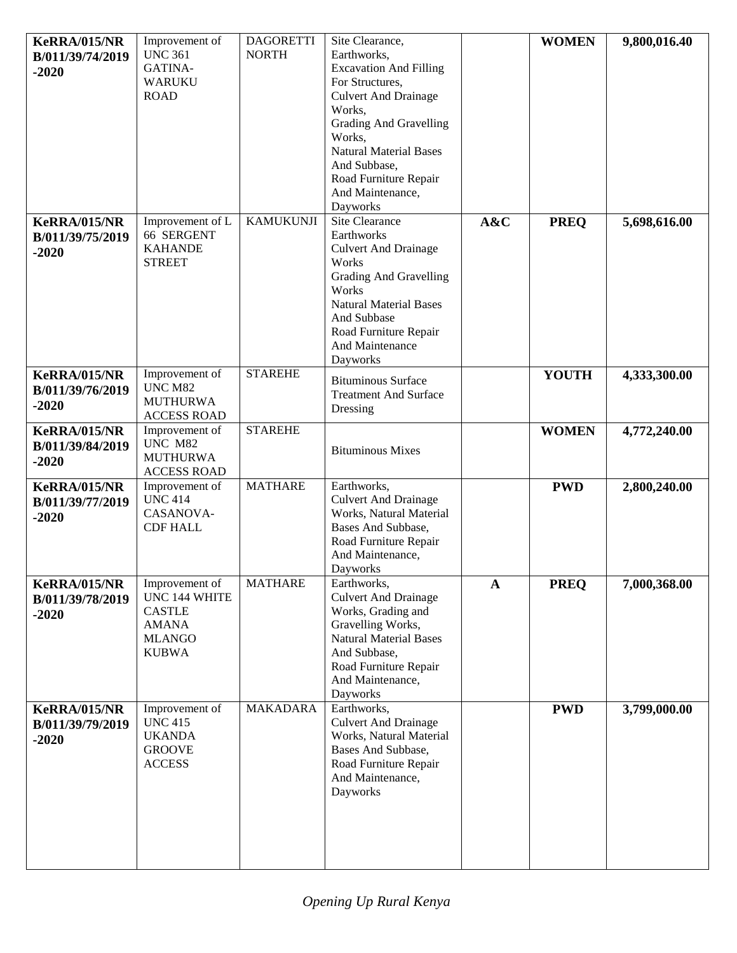| <b>KeRRA/015/NR</b><br>B/011/39/74/2019<br>$-2020$ | Improvement of<br><b>UNC 361</b><br>GATINA-<br><b>WARUKU</b><br><b>ROAD</b>                       | <b>DAGORETTI</b><br><b>NORTH</b> | Site Clearance,<br>Earthworks,<br><b>Excavation And Filling</b><br>For Structures,<br><b>Culvert And Drainage</b><br>Works,<br><b>Grading And Gravelling</b><br>Works,<br><b>Natural Material Bases</b><br>And Subbase,<br>Road Furniture Repair<br>And Maintenance,<br>Dayworks |              | <b>WOMEN</b> | 9,800,016.40 |
|----------------------------------------------------|---------------------------------------------------------------------------------------------------|----------------------------------|----------------------------------------------------------------------------------------------------------------------------------------------------------------------------------------------------------------------------------------------------------------------------------|--------------|--------------|--------------|
| <b>KeRRA/015/NR</b><br>B/011/39/75/2019<br>$-2020$ | Improvement of L<br>66 SERGENT<br><b>KAHANDE</b><br><b>STREET</b>                                 | <b>KAMUKUNJI</b>                 | <b>Site Clearance</b><br>Earthworks<br><b>Culvert And Drainage</b><br>Works<br><b>Grading And Gravelling</b><br>Works<br><b>Natural Material Bases</b><br>And Subbase<br>Road Furniture Repair<br>And Maintenance<br>Dayworks                                                    | A&C          | <b>PREQ</b>  | 5,698,616.00 |
| <b>KeRRA/015/NR</b><br>B/011/39/76/2019<br>$-2020$ | Improvement of<br>UNC M82<br><b>MUTHURWA</b><br><b>ACCESS ROAD</b>                                | <b>STAREHE</b>                   | <b>Bituminous Surface</b><br><b>Treatment And Surface</b><br>Dressing                                                                                                                                                                                                            |              | <b>YOUTH</b> | 4,333,300.00 |
| <b>KeRRA/015/NR</b><br>B/011/39/84/2019<br>$-2020$ | Improvement of<br>UNC M82<br><b>MUTHURWA</b><br><b>ACCESS ROAD</b>                                | <b>STAREHE</b>                   | <b>Bituminous Mixes</b>                                                                                                                                                                                                                                                          |              | <b>WOMEN</b> | 4,772,240.00 |
| <b>KeRRA/015/NR</b><br>B/011/39/77/2019<br>$-2020$ | Improvement of<br><b>UNC 414</b><br>CASANOVA-<br><b>CDF HALL</b>                                  | <b>MATHARE</b>                   | Earthworks,<br><b>Culvert And Drainage</b><br>Works, Natural Material<br>Bases And Subbase,<br>Road Furniture Repair<br>And Maintenance,<br><b>Dayworks</b>                                                                                                                      |              | <b>PWD</b>   | 2,800,240.00 |
| <b>KeRRA/015/NR</b><br>B/011/39/78/2019<br>$-2020$ | Improvement of<br>UNC 144 WHITE<br><b>CASTLE</b><br><b>AMANA</b><br><b>MLANGO</b><br><b>KUBWA</b> | <b>MATHARE</b>                   | Earthworks,<br><b>Culvert And Drainage</b><br>Works, Grading and<br>Gravelling Works,<br><b>Natural Material Bases</b><br>And Subbase,<br>Road Furniture Repair<br>And Maintenance,<br>Dayworks                                                                                  | $\mathbf{A}$ | <b>PREQ</b>  | 7,000,368.00 |
| <b>KeRRA/015/NR</b><br>B/011/39/79/2019<br>$-2020$ | Improvement of<br><b>UNC 415</b><br><b>UKANDA</b><br><b>GROOVE</b><br><b>ACCESS</b>               | <b>MAKADARA</b>                  | Earthworks,<br><b>Culvert And Drainage</b><br>Works, Natural Material<br>Bases And Subbase,<br>Road Furniture Repair<br>And Maintenance,<br>Dayworks                                                                                                                             |              | <b>PWD</b>   | 3,799,000.00 |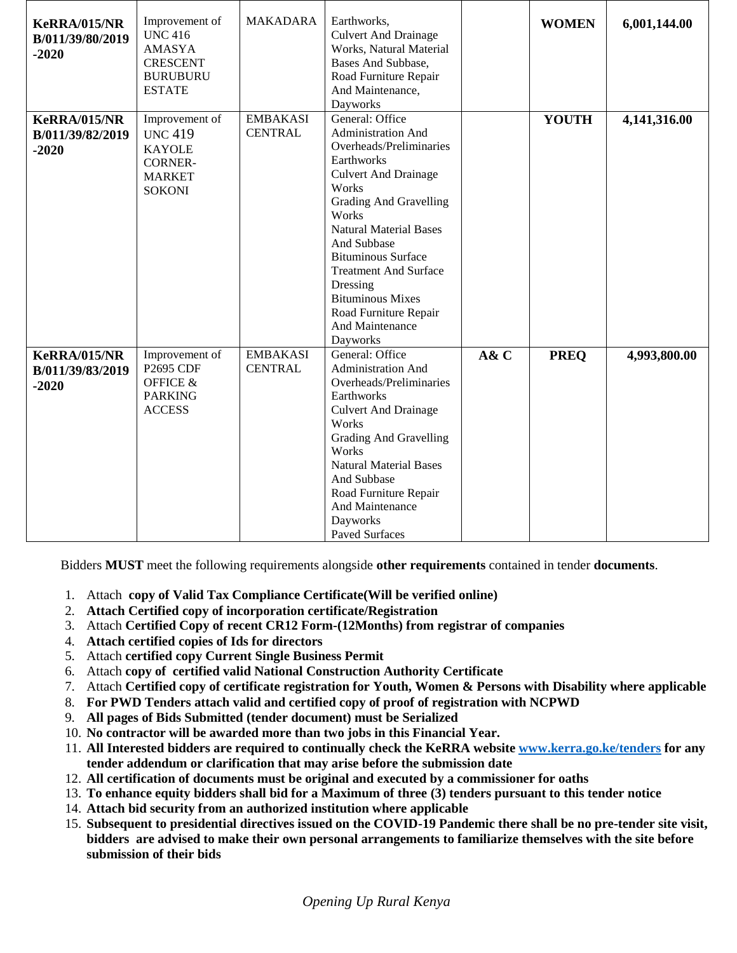| <b>KeRRA/015/NR</b><br>B/011/39/80/2019<br>$-2020$ | Improvement of<br><b>UNC 416</b><br><b>AMASYA</b><br><b>CRESCENT</b><br><b>BURUBURU</b><br><b>ESTATE</b> | <b>MAKADARA</b>                   | Earthworks,<br><b>Culvert And Drainage</b><br>Works, Natural Material<br>Bases And Subbase,<br>Road Furniture Repair<br>And Maintenance,<br>Dayworks                                                                                                                                                                                                                                |      | <b>WOMEN</b> | 6,001,144.00 |
|----------------------------------------------------|----------------------------------------------------------------------------------------------------------|-----------------------------------|-------------------------------------------------------------------------------------------------------------------------------------------------------------------------------------------------------------------------------------------------------------------------------------------------------------------------------------------------------------------------------------|------|--------------|--------------|
| <b>KeRRA/015/NR</b><br>B/011/39/82/2019<br>$-2020$ | Improvement of<br><b>UNC 419</b><br><b>KAYOLE</b><br><b>CORNER-</b><br><b>MARKET</b><br><b>SOKONI</b>    | <b>EMBAKASI</b><br><b>CENTRAL</b> | General: Office<br><b>Administration And</b><br>Overheads/Preliminaries<br>Earthworks<br><b>Culvert And Drainage</b><br>Works<br><b>Grading And Gravelling</b><br>Works<br><b>Natural Material Bases</b><br>And Subbase<br><b>Bituminous Surface</b><br><b>Treatment And Surface</b><br>Dressing<br><b>Bituminous Mixes</b><br>Road Furniture Repair<br>And Maintenance<br>Dayworks |      | <b>YOUTH</b> | 4,141,316.00 |
| <b>KeRRA/015/NR</b><br>B/011/39/83/2019<br>$-2020$ | Improvement of<br>P2695 CDF<br><b>OFFICE &amp;</b><br><b>PARKING</b><br><b>ACCESS</b>                    | <b>EMBAKASI</b><br><b>CENTRAL</b> | General: Office<br>Administration And<br>Overheads/Preliminaries<br>Earthworks<br><b>Culvert And Drainage</b><br>Works<br><b>Grading And Gravelling</b><br>Works<br><b>Natural Material Bases</b><br>And Subbase<br>Road Furniture Repair<br>And Maintenance<br>Dayworks<br>Paved Surfaces                                                                                          | A& C | <b>PREQ</b>  | 4,993,800.00 |

Bidders **MUST** meet the following requirements alongside **other requirements** contained in tender **documents**.

- 1. Attach **copy of Valid Tax Compliance Certificate(Will be verified online)**
- 2. **Attach Certified copy of incorporation certificate/Registration**
- 3. Attach **Certified Copy of recent CR12 Form-(12Months) from registrar of companies**
- 4. **Attach certified copies of Ids for directors**
- 5. Attach **certified copy Current Single Business Permit**
- 6. Attach **copy of certified valid National Construction Authority Certificate**
- 7. Attach **Certified copy of certificate registration for Youth, Women & Persons with Disability where applicable**
- 8. **For PWD Tenders attach valid and certified copy of proof of registration with NCPWD**
- 9. **All pages of Bids Submitted (tender document) must be Serialized**
- 10. **No contractor will be awarded more than two jobs in this Financial Year.**
- 11. **All Interested bidders are required to continually check the KeRRA website [www.kerra.go.ke/tenders](http://www.kerra.go.ke/tenders) for any tender addendum or clarification that may arise before the submission date**
- 12. **All certification of documents must be original and executed by a commissioner for oaths**
- 13. **To enhance equity bidders shall bid for a Maximum of three (3) tenders pursuant to this tender notice**
- 14. **Attach bid security from an authorized institution where applicable**
- 15. **Subsequent to presidential directives issued on the COVID-19 Pandemic there shall be no pre-tender site visit, bidders are advised to make their own personal arrangements to familiarize themselves with the site before submission of their bids**